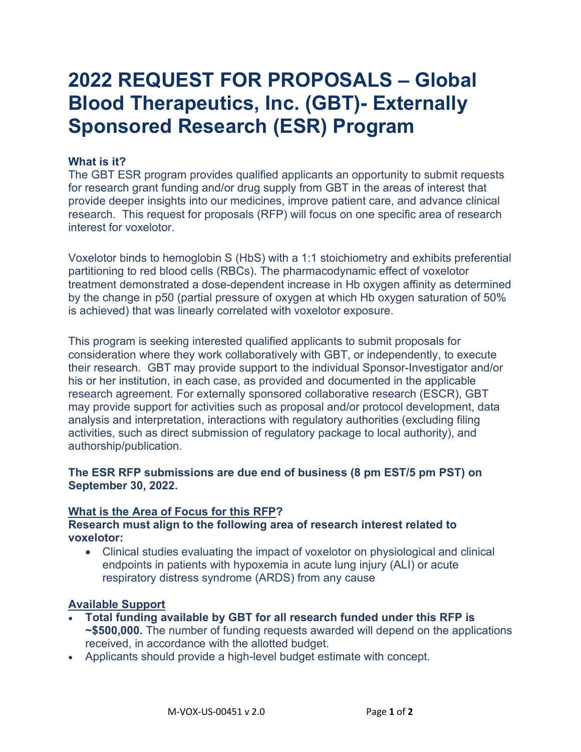# **2022 REQUEST FOR PROPOSALS – Global Blood Therapeutics, Inc. (GBT)- Externally Sponsored Research (ESR) Program**

#### **What is it?**

The GBT ESR program provides qualified applicants an opportunity to submit requests for research grant funding and/or drug supply from GBT in the areas of interest that provide deeper insights into our medicines, improve patient care, and advance clinical research. This request for proposals (RFP) will focus on one specific area of research interest for voxelotor.

Voxelotor binds to hemoglobin S (HbS) with a 1:1 stoichiometry and exhibits preferential partitioning to red blood cells (RBCs). The pharmacodynamic effect of voxelotor treatment demonstrated a dose-dependent increase in Hb oxygen affinity as determined by the change in p50 (partial pressure of oxygen at which Hb oxygen saturation of 50% is achieved) that was linearly correlated with voxelotor exposure.

This program is seeking interested qualified applicants to submit proposals for consideration where they work collaboratively with GBT, or independently, to execute their research. GBT may provide support to the individual Sponsor-Investigator and/or his or her institution, in each case, as provided and documented in the applicable research agreement. For externally sponsored collaborative research (ESCR), GBT may provide support for activities such as proposal and/or protocol development, data analysis and interpretation, interactions with regulatory authorities (excluding filing activities, such as direct submission of regulatory package to local authority), and authorship/publication.

#### **The ESR RFP submissions are due end of business (8 pm EST/5 pm PST) on September 30, 2022.**

#### **What is the Area of Focus for this RFP?**

#### **Research must align to the following area of research interest related to voxelotor:**

• Clinical studies evaluating the impact of voxelotor on physiological and clinical endpoints in patients with hypoxemia in acute lung injury (ALI) or acute respiratory distress syndrome (ARDS) from any cause

## **Available Support**

- **Total funding available by GBT for all research funded under this RFP is ~\$500,000.** The number of funding requests awarded will depend on the applications received, in accordance with the allotted budget.
- Applicants should provide a high-level budget estimate with concept.